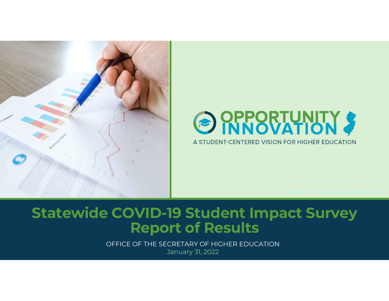



# Statewide COVID-19 Student Impact Survey Report of Results

OFFICE OF THE SECRETARY OF HIGHER EDUCATION January 31, 2022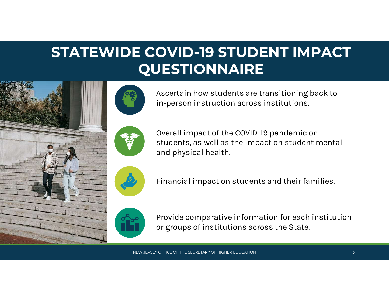# **OVID-19 STUDENT IMPACT**<br>JESTIONNAIRE<br>Ascertain how students are transitioning back to<br>in-person instruction across institutions. **OVID-19 STUDENT IMPACT**<br>JESTIONNAIRE<br>Ascertain how students are transitioning back to<br>in-person instruction across institutions.<br>Overall impact of the COVID-19 pandemic on<br>students, as well as the impact on student mental STATEWIDE COVID-19 STUDENT IMPACT **QUESTIONNAIRE**



in-person instruction across institutions.

students, as well as the impact on student mental and physical health. Overall impact of the COVID-19 pandemic on<br>students, as well as the impact on student mental<br>and physical health.<br>Financial impact on students and their families.<br>Provide comparative information for each institution<br>or gro

Financial impact on students and their families.



Provide comparative information for each institution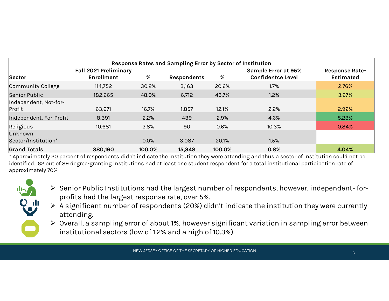| Response Rates and Sampling Error by Sector of Institution<br><b>Fall 2021 Preliminary</b><br><b>Sample Error at 95%</b><br><b>Response Rate-</b><br>%<br><b>Confidentce Level</b><br><b>Enrollment</b><br>%<br><b>Estimated</b><br>Sector<br><b>Respondents</b><br>2.76%<br>Community College<br>114,752<br>30.2%<br>3,163<br>20.6%<br>1.7%<br>182,665<br>6,712<br>43.7%<br>1.2%<br>Senior Public<br>48.0%<br>3.67% |
|----------------------------------------------------------------------------------------------------------------------------------------------------------------------------------------------------------------------------------------------------------------------------------------------------------------------------------------------------------------------------------------------------------------------|
|                                                                                                                                                                                                                                                                                                                                                                                                                      |
|                                                                                                                                                                                                                                                                                                                                                                                                                      |
|                                                                                                                                                                                                                                                                                                                                                                                                                      |
|                                                                                                                                                                                                                                                                                                                                                                                                                      |
|                                                                                                                                                                                                                                                                                                                                                                                                                      |
|                                                                                                                                                                                                                                                                                                                                                                                                                      |
|                                                                                                                                                                                                                                                                                                                                                                                                                      |
|                                                                                                                                                                                                                                                                                                                                                                                                                      |
|                                                                                                                                                                                                                                                                                                                                                                                                                      |
|                                                                                                                                                                                                                                                                                                                                                                                                                      |
|                                                                                                                                                                                                                                                                                                                                                                                                                      |
|                                                                                                                                                                                                                                                                                                                                                                                                                      |
| Independent, Not-for-                                                                                                                                                                                                                                                                                                                                                                                                |
| 2.2%<br>63,671<br>16.7%<br>1,857<br>12.1%<br>2.92%<br>Profit                                                                                                                                                                                                                                                                                                                                                         |
| Independent, For-Profit<br>2.2%<br>2.9%<br>5.23%<br>8,391<br>439<br>4.6%                                                                                                                                                                                                                                                                                                                                             |
| Religious<br>10,681<br>2.8%<br>90<br>0.6%<br>10.3%<br>0.84%<br>Unknown                                                                                                                                                                                                                                                                                                                                               |
| Sector/Institution*<br>0.0%<br>20.1%<br>1.5%<br>3,087                                                                                                                                                                                                                                                                                                                                                                |
| 380,160<br>100.0%<br>15,348<br>0.8%<br>4.04%<br><b>Grand Totals</b><br>100.0%                                                                                                                                                                                                                                                                                                                                        |



- A significant number of respondents (20%) didn't indicate the institution they were currently attending.
- Overall, a sampling error of about 1%, however significant variation in sampling error between institutional sectors (low of 1.2% and a high of 10.3%).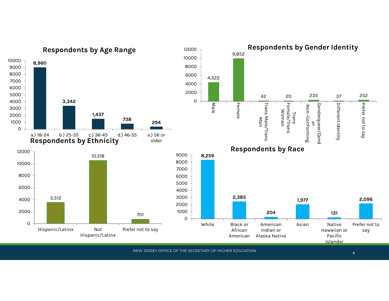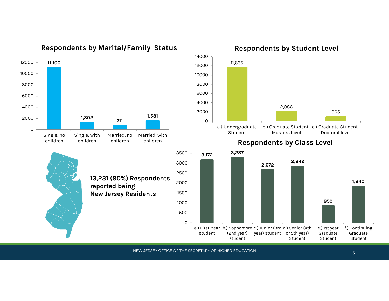

### Respondents by Marital/Family Status

13,231 (90%) Respondents

reported being

Respondents by Student Level



### Respondents by Class Level children



NEW JERSEY OFFICE OF THE SECRETARY OF HIGHER EDUCATION

5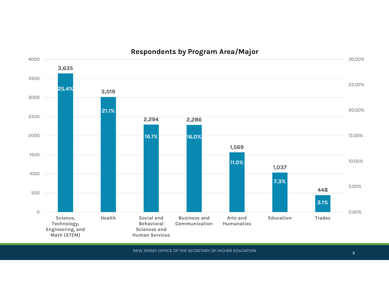

Respondents by Program Area/Major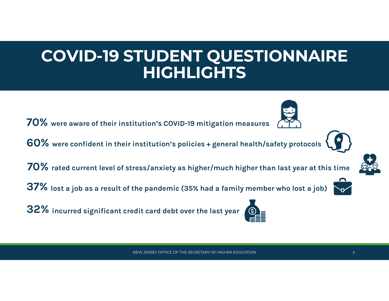# 2022 DEERING STUDIES STUDIES STUDIES<br>DIGUI IGUTE COVID-19 STUDENT QUESTIONNAIRE HIGHLIGHTS

70% were aware of their institution's COVID-19 mitigation measures

60% were confident in their institution's policies + general health/safety protocols

 $70\%$  rated current level of stress/anxiety as higher/much higher than last year at this time

37% lost a job as a result of the pandemic (35% had a family member who lost a job)

32% incurred significant credit card debt over the last year





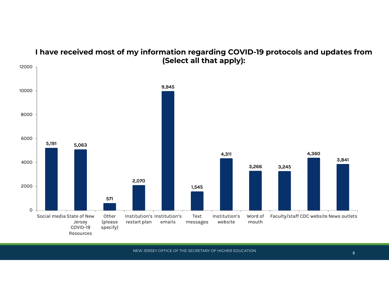

## I have received most of my information regarding COVID-19 protocols and updates from (Select all that apply):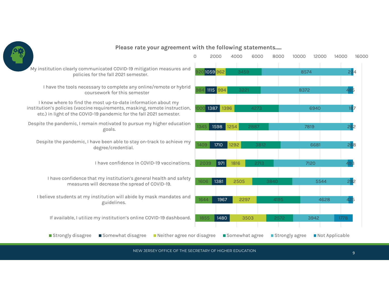

### Please rate your agreement with the following statements.....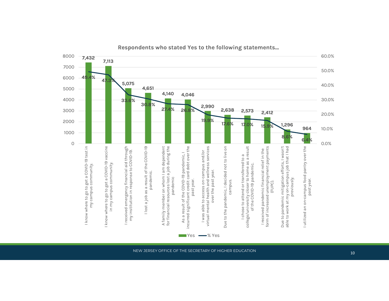

Respondents who stated Yes to the following statements…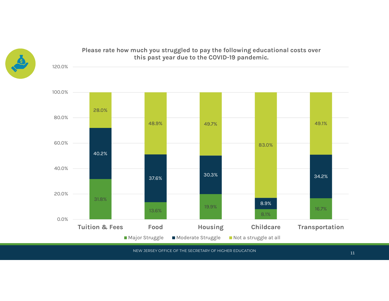



# Please rate how much you struggled to pay the following educational costs over

<sup>11</sup> NEW JERSEY OFFICE OF THE SECRETARY OF HIGHER EDUCATION

■ Major Struggle Moderate Struggle Not a struggle at all

0.0%

 $13.6\%$ 

8.1%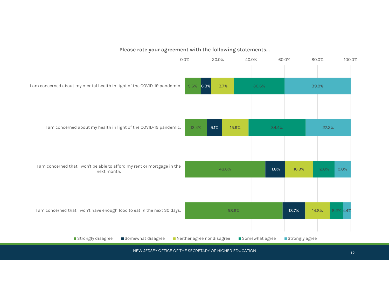

### Please rate your agreement with the following statements...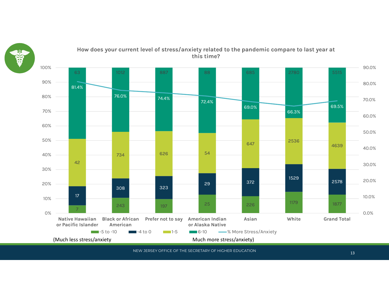



How does your current level of stress/anxiety related to the pandemic compare to last year at this time?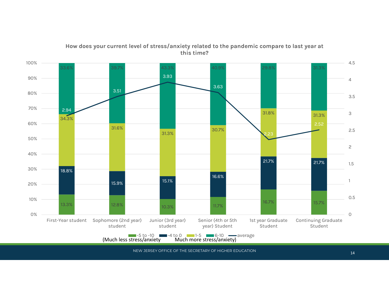

### How does your current level of stress/anxiety related to the pandemic compare to last year at this time?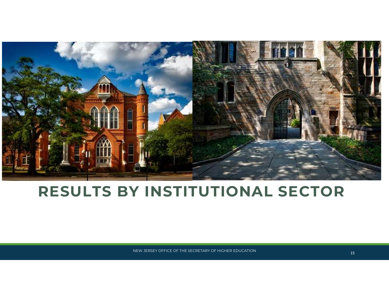

# RESULTS BY INSTITUTIONAL SECTOR

NEW JERSEY OFFICE OF THE SECRETARY OF HIGHER EDUCATION 15 AND 15 AND 15 AND 15 AND 15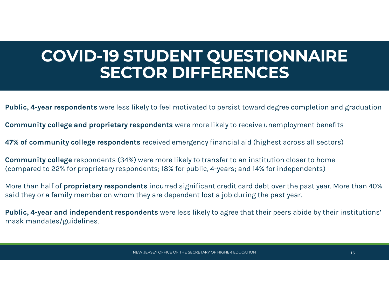# 212 STUDENT QUESTIONNAIRE<br>CECTOD DIEEEDENCEC COVID-19 STUDENT QUESTIONNAIRE SECTOR DIFFERENCES COVID-19 STUDENT QUESTIONNAIRE<br>SECTOR DIFFERENCES<br>Public, 4-year respondents were less likely to feel motivated to persist toward degree completion and graduation<br>Community college and proprietary respondents were more lik

Public, 4-year respondents were less likely to feel motivated to persist toward degree completion and graduation

47% of community college respondents received emergency financial aid (highest across all sectors)

Community college respondents (34%) were more likely to transfer to an institution closer to home (compared to 22% for proprietary respondents; 18% for public, 4-years; and 14% for independents)

More than half of **proprietary respondents** incurred significant credit card debt over the past year. More than 40% said they or a family member on whom they are dependent lost a job during the past year.

Public, 4-year respondents were less likely to feel motivated to persist toward degree completion and graduation<br>Community college and proprietary respondents were more likely to receive unemployment benefits<br>47% of commun mask mandates/guidelines.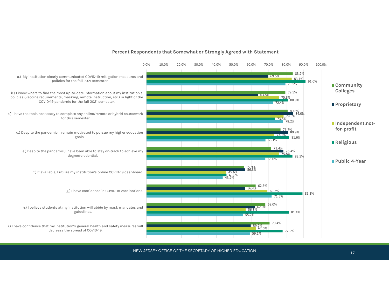

#### Percent Respondents that Somewhat or Strongly Agreed with Statement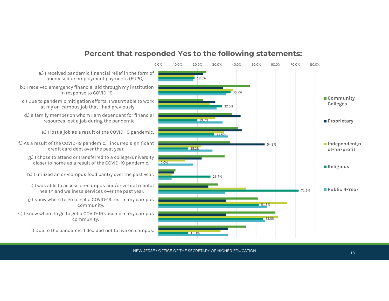



NEW JERSEY OFFICE OF THE SECRETARY OF HIGHER EDUCATION And the state of the state of the state of the state of the state of the state of the state of the state of the state of the state of the state of the state of the sta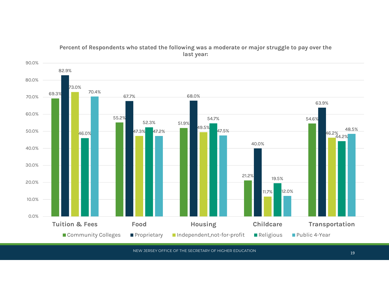

### Percent of Respondents who stated the following was a moderate or major struggle to pay over the last year:

NEW JERSEY OFFICE OF THE SECRETARY OF HIGHER EDUCATION And the state of the state of the state of the state of the state of the state of the state of the state of the state of the state of the state of the state of the sta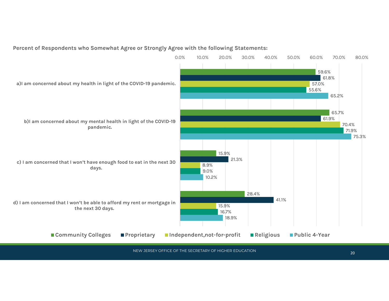

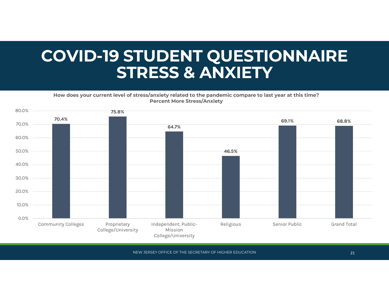## 2022 BEERT QUESTIONNAIRE<br>2022 CTDECC & ANVIETV COVID-19 STUDENT QUESTIONNAIRE STRESS & ANXIETY

How does your current level of stress/anxiety related to the pandemic compare to last year at this time? Percent More Stress/Anxiety

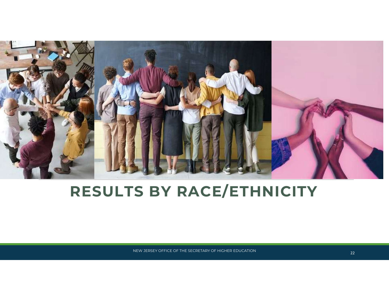

# RESULTS BY RACE/ETHNICITY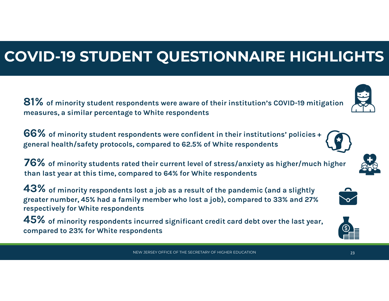# COVID-19 STUDENT QUESTIONNAIRE HIGHLIGHTS

81% of minority student respondents were aware of their institution's COVID-19 mitigation measures, a similar percentage to White respondents

66% of minority student respondents were confident in their institutions' policies + general health/safety protocols, compared to 62.5% of White respondents

76% of minority students rated their current level of stress/anxiety as higher/much higher than last year at this time, compared to 64% for White respondents

 $43\%$  of minority respondents lost a job as a result of the pandemic (and a slightly greater number, 45% had a family member who lost a job), compared to 33% and 27% respectively for White respondents

 $\bf{45}$  of minority respondents incurred significant credit card debt over the last year, compared to 23% for White respondents







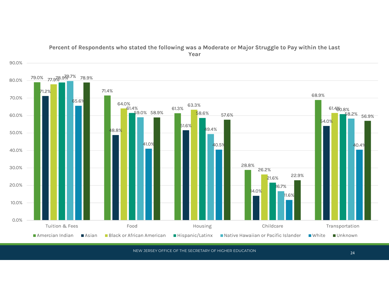

### Percent of Respondents who stated the following was a Moderate or Major Struggle to Pay within the Last Year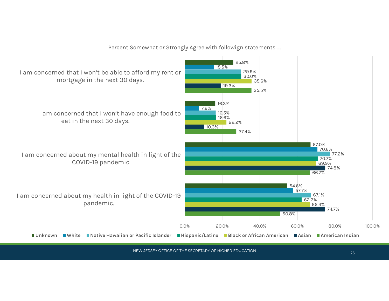Percent Somewhat or Strongly Agree with followign statements…..

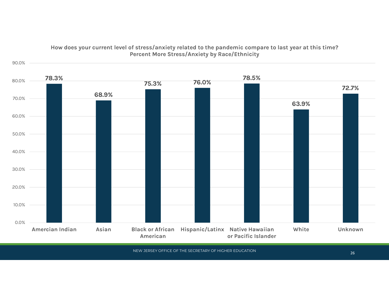

### How does your current level of stress/anxiety related to the pandemic compare to last year at this time? Percent More Stress/Anxiety by Race/Ethnicity